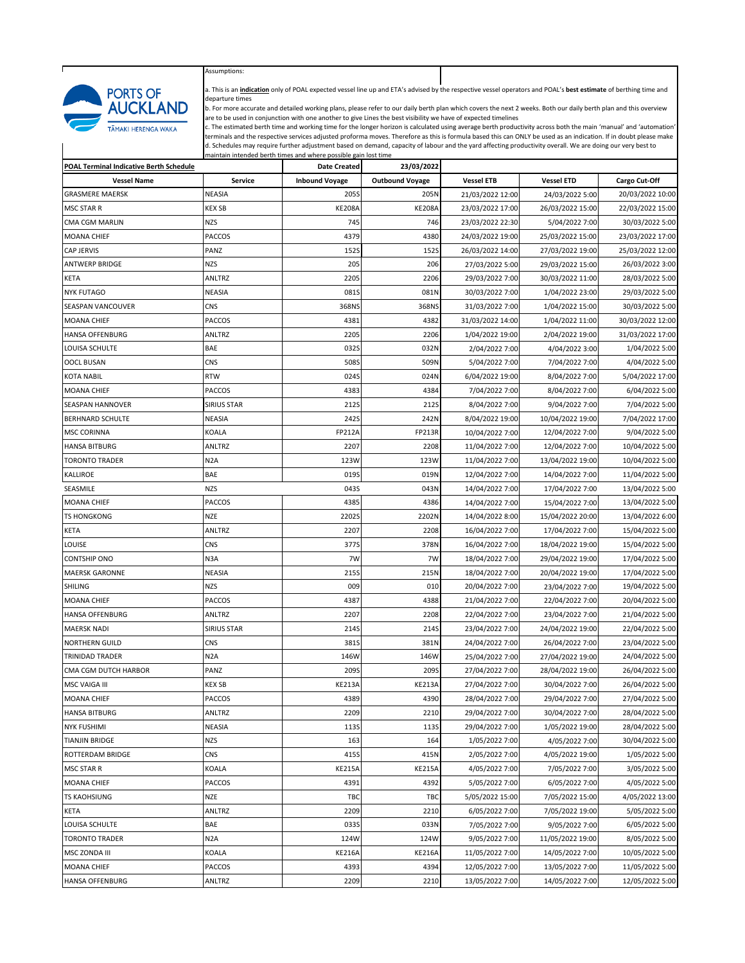

г

Assumptions:

a. This is an **indication** only of POAL expected vessel line up and ETA's advised by the respective vessel operators and POAL's **best estimate** of berthing time and departure times

b. For more accurate and detailed working plans, please refer to our daily berth plan which covers the next 2 weeks. Both our daily berth plan and this overview are to be used in conjunction with one another to give Lines the best visibility we have of expected timelines

c. The estimated berth time and working time for the longer horizon is calculated using average berth productivity across both the main 'manual' and 'automation'<br>terminals and the respective services adjusted proforma move maintain intended berth times and where possible gain lost time

| <b>POAL Terminal Indicative Berth Schedule</b> |                    | <b>Date Created</b>   | 23/03/2022             |                   |                   |                  |
|------------------------------------------------|--------------------|-----------------------|------------------------|-------------------|-------------------|------------------|
| <b>Vessel Name</b>                             | Service            | <b>Inbound Voyage</b> | <b>Outbound Voyage</b> | <b>Vessel ETB</b> | <b>Vessel ETD</b> | Cargo Cut-Off    |
| <b>GRASMERE MAERSK</b>                         | <b>NEASIA</b>      | 205S                  | 205N                   | 21/03/2022 12:00  | 24/03/2022 5:00   | 20/03/2022 10:00 |
| MSC STAR R                                     | <b>KEX SB</b>      | <b>KE208A</b>         | KE208A                 | 23/03/2022 17:00  | 26/03/2022 15:00  | 22/03/2022 15:00 |
| CMA CGM MARLIN                                 | <b>NZS</b>         | 745                   | 746                    | 23/03/2022 22:30  | 5/04/2022 7:00    | 30/03/2022 5:00  |
| MOANA CHIEF                                    | PACCOS             | 4379                  | 4380                   | 24/03/2022 19:00  | 25/03/2022 15:00  | 23/03/2022 17:00 |
| CAP JERVIS                                     | PANZ               | 152S                  | <b>152S</b>            | 26/03/2022 14:00  | 27/03/2022 19:00  | 25/03/2022 12:00 |
| ANTWERP BRIDGE                                 | <b>NZS</b>         | 205                   | 206                    | 27/03/2022 5:00   | 29/03/2022 15:00  | 26/03/2022 3:00  |
| KETA                                           | ANLTRZ             | 2205                  | 2206                   | 29/03/2022 7:00   | 30/03/2022 11:00  | 28/03/2022 5:00  |
| <b>NYK FUTAGO</b>                              | <b>NEASIA</b>      | 081S                  | 081N                   | 30/03/2022 7:00   | 1/04/2022 23:00   | 29/03/2022 5:00  |
| SEASPAN VANCOUVER                              | CNS                | 368NS                 | 368NS                  | 31/03/2022 7:00   | 1/04/2022 15:00   | 30/03/2022 5:00  |
| <b>MOANA CHIEF</b>                             | <b>PACCOS</b>      | 4381                  | 4382                   | 31/03/2022 14:00  | 1/04/2022 11:00   | 30/03/2022 12:00 |
| <b>HANSA OFFENBURG</b>                         | <b>ANLTRZ</b>      | 2205                  | 2206                   | 1/04/2022 19:00   | 2/04/2022 19:00   | 31/03/2022 17:00 |
| LOUISA SCHULTE                                 | BAE                | 032S                  | 032N                   | 2/04/2022 7:00    | 4/04/2022 3:00    | 1/04/2022 5:00   |
| OOCL BUSAN                                     | CNS                | 508S                  | 509N                   | 5/04/2022 7:00    | 7/04/2022 7:00    | 4/04/2022 5:00   |
| KOTA NABIL                                     | <b>RTW</b>         | 024S                  | 024N                   | 6/04/2022 19:00   | 8/04/2022 7:00    | 5/04/2022 17:00  |
| MOANA CHIEF                                    | <b>PACCOS</b>      | 4383                  | 4384                   | 7/04/2022 7:00    | 8/04/2022 7:00    | 6/04/2022 5:00   |
| SEASPAN HANNOVER                               | <b>SIRIUS STAR</b> | <b>212S</b>           | <b>212S</b>            | 8/04/2022 7:00    | 9/04/2022 7:00    | 7/04/2022 5:00   |
| <b>BERHNARD SCHULTE</b>                        | NEASIA             | 242S                  | 242N                   | 8/04/2022 19:00   | 10/04/2022 19:00  | 7/04/2022 17:00  |
| MSC CORINNA                                    | KOALA              | <b>FP212A</b>         | <b>FP213R</b>          | 10/04/2022 7:00   | 12/04/2022 7:00   | 9/04/2022 5:00   |
| <b>HANSA BITBURG</b>                           | ANLTRZ             | 2207                  | 2208                   | 11/04/2022 7:00   | 12/04/2022 7:00   | 10/04/2022 5:00  |
| TORONTO TRADER                                 | N <sub>2</sub> A   | 123W                  | 123W                   | 11/04/2022 7:00   | 13/04/2022 19:00  | 10/04/2022 5:00  |
| KALLIROE                                       | BAE                | 019S                  | 019N                   | 12/04/2022 7:00   | 14/04/2022 7:00   | 11/04/2022 5:00  |
| SEASMILE                                       | <b>NZS</b>         | 043S                  | 043N                   | 14/04/2022 7:00   | 17/04/2022 7:00   | 13/04/2022 5:00  |
| <b>MOANA CHIEF</b>                             | PACCOS             | 4385                  | 4386                   | 14/04/2022 7:00   | 15/04/2022 7:00   | 13/04/2022 5:00  |
| <b>TS HONGKONG</b>                             | <b>NZE</b>         | 2202S                 | 2202N                  | 14/04/2022 8:00   | 15/04/2022 20:00  | 13/04/2022 6:00  |
| KETA                                           | ANLTRZ             | 2207                  | 2208                   | 16/04/2022 7:00   | 17/04/2022 7:00   | 15/04/2022 5:00  |
| Louise                                         | CNS                | 377S                  | 378N                   | 16/04/2022 7:00   | 18/04/2022 19:00  | 15/04/2022 5:00  |
| CONTSHIP ONO                                   | N <sub>3</sub> A   | 7W                    | 7W                     | 18/04/2022 7:00   | 29/04/2022 19:00  | 17/04/2022 5:00  |
| MAERSK GARONNE                                 | NEASIA             | 215S                  | 215N                   | 18/04/2022 7:00   | 20/04/2022 19:00  | 17/04/2022 5:00  |
| SHILING                                        | <b>NZS</b>         | 009                   | 010                    | 20/04/2022 7:00   | 23/04/2022 7:00   | 19/04/2022 5:00  |
| <b>MOANA CHIEF</b>                             | <b>PACCOS</b>      | 4387                  | 4388                   | 21/04/2022 7:00   | 22/04/2022 7:00   | 20/04/2022 5:00  |
| <b>HANSA OFFENBURG</b>                         | ANLTRZ             | 2207                  | 2208                   | 22/04/2022 7:00   | 23/04/2022 7:00   | 21/04/2022 5:00  |
| <b>MAERSK NADI</b>                             | <b>SIRIUS STAR</b> | 214S                  | 214S                   | 23/04/2022 7:00   | 24/04/2022 19:00  | 22/04/2022 5:00  |
| <b>NORTHERN GUILD</b>                          | CNS                | 381S                  | 381N                   | 24/04/2022 7:00   | 26/04/2022 7:00   | 23/04/2022 5:00  |
| TRINIDAD TRADER                                | N <sub>2</sub> A   | 146W                  | 146W                   | 25/04/2022 7:00   | 27/04/2022 19:00  | 24/04/2022 5:00  |
| CMA CGM DUTCH HARBOR                           | PANZ               | 209S                  | 209S                   | 27/04/2022 7:00   | 28/04/2022 19:00  | 26/04/2022 5:00  |
| MSC VAIGA III                                  | <b>KEX SB</b>      | <b>KE213A</b>         | <b>KE213A</b>          | 27/04/2022 7:00   | 30/04/2022 7:00   | 26/04/2022 5:00  |
| <b>MOANA CHIEF</b>                             | <b>PACCOS</b>      | 4389                  | 4390                   | 28/04/2022 7:00   | 29/04/2022 7:00   | 27/04/2022 5:00  |
| <b>HANSA BITBURG</b>                           | ANLTRZ             | 2209                  | 2210                   | 29/04/2022 7:00   | 30/04/2022 7:00   | 28/04/2022 5:00  |
| <b>NYK FUSHIMI</b>                             | <b>NEASIA</b>      | <b>113S</b>           | <b>113S</b>            | 29/04/2022 7:00   | 1/05/2022 19:00   | 28/04/2022 5:00  |
| TIANJIN BRIDGE                                 | NZS                | 163                   | 164                    | 1/05/2022 7:00    | 4/05/2022 7:00    | 30/04/2022 5:00  |
| ROTTERDAM BRIDGE                               | CNS                | 415S                  | 415N                   | 2/05/2022 7:00    | 4/05/2022 19:00   | 1/05/2022 5:00   |
| <b>MSC STAR R</b>                              | KOALA              | <b>KE215A</b>         | <b>KE215A</b>          | 4/05/2022 7:00    | 7/05/2022 7:00    | 3/05/2022 5:00   |
| <b>MOANA CHIEF</b>                             | PACCOS             | 4391                  | 4392                   | 5/05/2022 7:00    | 6/05/2022 7:00    | 4/05/2022 5:00   |
| TS KAOHSIUNG                                   | <b>NZE</b>         | TBC                   | TBC                    | 5/05/2022 15:00   | 7/05/2022 15:00   | 4/05/2022 13:00  |
| KETA                                           | ANLTRZ             | 2209                  | 2210                   | 6/05/2022 7:00    | 7/05/2022 19:00   | 5/05/2022 5:00   |
| LOUISA SCHULTE                                 | BAE                | 033S                  | 033N                   | 7/05/2022 7:00    | 9/05/2022 7:00    | 6/05/2022 5:00   |
| <b>TORONTO TRADER</b>                          | N <sub>2</sub> A   | 124W                  | 124W                   | 9/05/2022 7:00    | 11/05/2022 19:00  | 8/05/2022 5:00   |
| MSC ZONDA III                                  | <b>KOALA</b>       | <b>KE216A</b>         | <b>KE216A</b>          | 11/05/2022 7:00   | 14/05/2022 7:00   | 10/05/2022 5:00  |
| MOANA CHIEF                                    | <b>PACCOS</b>      | 4393                  | 4394                   | 12/05/2022 7:00   | 13/05/2022 7:00   | 11/05/2022 5:00  |
| <b>HANSA OFFENBURG</b>                         | ANLTRZ             | 2209                  | 2210                   | 13/05/2022 7:00   | 14/05/2022 7:00   | 12/05/2022 5:00  |